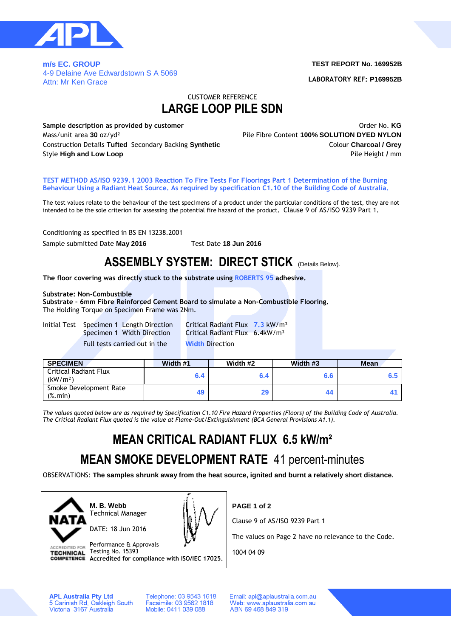

**m/s EC. GROUP**  4-9 Delaine Ave Edwardstown S A 5069 Attn: Mr Ken Grace

#### **TEST REPORT No. 169952B**

**LABORATORY REF: P169952B**

### CUSTOMER REFERENCE **LARGE LOOP PILE SDN**

**Sample description as provided by customer COVID-1000 COVID-1000 COVID-1000 COVID-1000 COVID-1000 COVID-1000 COVID-1000 COVID-1000 COVID-1000 COVID-1000 COVID-1000 COVID-1000 COVID-1000 COVID-1000 COVID-1000 COVID-1000** Mass/unit area **30** oz/yd² Pile Fibre Content **100% SOLUTION DYED NYLON** Construction Details **Tufted** Secondary Backing **Synthetic** Colour **Charcoal / Grey** Style **High and Low Loop Pile Height** */* **mm** 

#### **TEST METHOD AS/ISO 9239.1 2003 Reaction To Fire Tests For Floorings Part 1 Determination of the Burning Behaviour Using a Radiant Heat Source. As required by specification C1.10 of the Building Code of Australia.**

The test values relate to the behaviour of the test specimens of a product under the particular conditions of the test, they are not intended to be the sole criterion for assessing the potential fire hazard of the product**.** Clause 9 of AS/ISO 9239 Part 1**.**

Conditioning as specified in BS EN 13238.2001

Sample submitted Date **May 2016** Test Date **18 Jun 2016**

## **ASSEMBLY SYSTEM: DIRECT STICK** (Details Below).

**The floor covering was directly stuck to the substrate using ROBERTS 95 adhesive.**

#### **Substrate: Non-Combustible**

**Substrate – 6mm Fibre Reinforced Cement Board to simulate a Non-Combustible Flooring.** The Holding Torque on Specimen Frame was 2Nm.

Initial Test Specimen 1 Length Direction Critical Radiant Flux **7.3** kW/m² Full tests carried out in the **Width** Direction

Specimen 1 Width Direction Critical Radiant Flux 6.4kW/m²

| <b>SPECIMEN</b>                                                  | Width #1 | Width #2 | Width #3 | <b>Mean</b> |
|------------------------------------------------------------------|----------|----------|----------|-------------|
| Critical Radiant Flux<br>(kW/m <sup>2</sup> )                    | 6.4      | 6.4      | 6.6      |             |
| Smoke Development Rate<br>$(% \mathcal{L}_{0}^{\infty})$ (%.min) | 49       | 29       | 44       |             |

*The values quoted below are as required by Specification C1.10 Fire Hazard Properties (Floors) of the Building Code of Australia. The Critical Radiant Flux quoted is the value at Flame-Out/Extinguishment (BCA General Provisions A1.1).*

# **MEAN CRITICAL RADIANT FLUX 6.5 kW/m²**

## **MEAN SMOKE DEVELOPMENT RATE** 41 percent-minutes

OBSERVATIONS: **The samples shrunk away from the heat source, ignited and burnt a relatively short distance.**



**M. B. Webb** Technical Manager

DATE: 18 Jun 2016



ACCREDITED FOR Performance & Approvals TECHNICAL Testing No. 15393 **Accredited for compliance with ISO/IEC 17025.** **PAGE 1 of 2**

Clause 9 of AS/ISO 9239 Part 1

The values on Page 2 have no relevance to the Code.

1004 04 09

**APL Australia Pty Ltd** 5 Carinish Rd, Oakleigh South<br>Victoria 3167 Australia Telephone: 03 9543 1618 Facsimile: 03 9562 1818 Mobile: 0411 039 088

Email: apl@aplaustralia.com.au Web: www.aplaustralia.com.au ABN 69 468 849 319